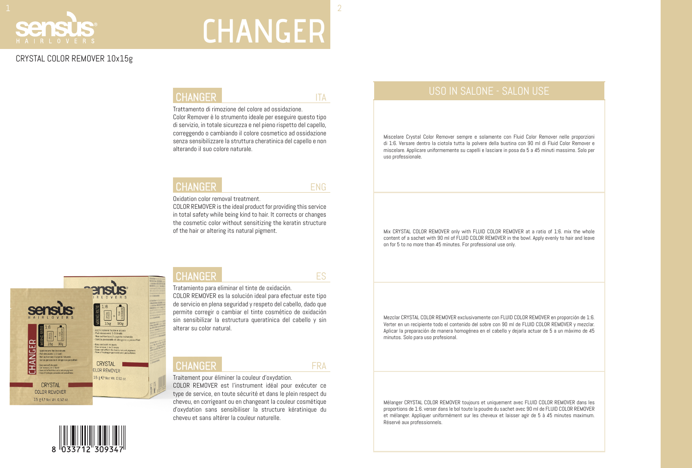### CRYSTAL COLOR REMOVER 10x15g

### CHANGER THE THREE ITA

Trattamento di rimozione del colore ad ossidazione.

Color Remover è lo strumento ideale per eseguire questo tipo di servizio, in totale sicurezza e nel pieno rispetto del capello, correggendo o cambiando il colore cosmetico ad ossidazione senza sensibilizzare la struttura cheratinica del capello e non alterando il suo colore naturale.

### **CHANGER**

Oxidation color removal treatment.

COLOR REMOVER is the ideal product for providing this service in total safety while being kind to hair. It corrects or changes the cosmetic color without sensitizing the keratin structure of the hair or altering its natural pigment.





### **CHANGER**

Tratamiento para eliminar el tinte de oxidación. COLOR REMOVER es la solución ideal para efectuar este tipo de servicio en plena seguridad y respeto del cabello, dado que permite corregir o cambiar el tinte cosmético de oxidación sin sensibilizar la estructura queratínica del cabello y sin alterar su color natural.

### **CHANGER**

Traitement pour éliminer la couleur d'oxydation.

COLOR REMOVER est l'instrument idéal pour exécuter ce type de service, en toute sécurité et dans le plein respect du cheveu, en corrigeant ou en changeant la couleur cosmétique d'oxydation sans sensibiliser la structure kératinique du cheveu et sans altérer la couleur naturelle.

ES

ENG

FRA

## $1$  and the contract of the contract of the contract of the contract of the contract of  $2$ Seh

# **CHANGER**

### USO IN SALONE - SALON USE

Miscelare Crystal Color Remover sempre e solamente con Fluid Color Remover nelle proporzioni di 1:6. Versare dentro la ciotola tutta la polvere della bustina con 90 ml di Fluid Color Remover e miscelare. Applicare uniformemente su capelli e lasciare in posa da 5 a 45 minuti massimo. Solo per uso professionale.

Mix CRYSTAL COLOR REMOVER only with FLUID COLOR REMOVER at a ratio of 1:6. mix the whole content of a sachet with 90 ml of FLUID COLOR REMOVER in the bowl. Apply evenly to hair and leave on for 5 to no more than 45 minutes. For professional use only.

Mezclar CRYSTAL COLOR REMOVER exclusivamente con FLUID COLOR REMOVER en proporción de 1:6. Verter en un recipiente todo el contenido del sobre con 90 ml de FLUID COLOR REMOVER y mezclar. Aplicar la preparación de manera homogénea en el cabello y dejarla actuar de 5 a un máximo de 45 minutos. Solo para uso profesional.

Mélanger CRYSTAL COLOR REMOVER toujours et uniquement avec FLUID COLOR REMOVER dans les proportions de 1:6. verser dans le bol toute la poudre du sachet avec 90 ml de FLUID COLOR REMOVER et mélanger. Appliquer uniformément sur les cheveux et laisser agir de 5 à 45 minutes maximum. Réservé aux professionnels.